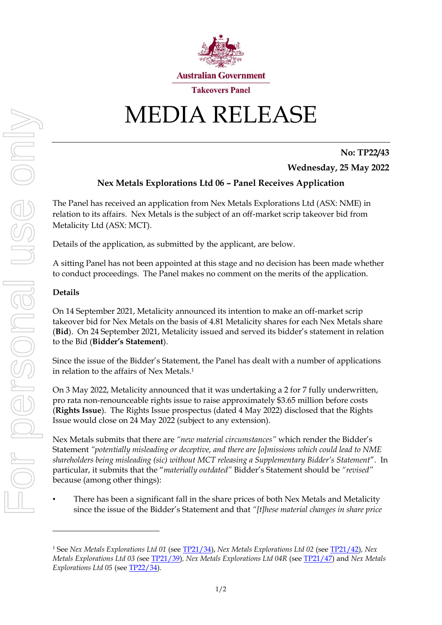

## MEDIA RELEASE

## **No: TP22/43**

**Wednesday, 25 May 2022**

## **Nex Metals Explorations Ltd 06 – Panel Receives Application**

The Panel has received an application from Nex Metals Explorations Ltd (ASX: NME) in relation to its affairs. Nex Metals is the subject of an off-market scrip takeover bid from Metalicity Ltd (ASX: MCT).

Details of the application, as submitted by the applicant, are below.

A sitting Panel has not been appointed at this stage and no decision has been made whether to conduct proceedings. The Panel makes no comment on the merits of the application.

## **Details**

On 14 September 2021, Metalicity announced its intention to make an off-market scrip takeover bid for Nex Metals on the basis of 4.81 Metalicity shares for each Nex Metals share (**Bid**). On 24 September 2021, Metalicity issued and served its bidder's statement in relation to the Bid (**Bidder's Statement**).

Since the issue of the Bidder's Statement, the Panel has dealt with a number of applications in relation to the affairs of Nex Metals. 1

On 3 May 2022, Metalicity announced that it was undertaking a 2 for 7 fully underwritten, pro rata non-renounceable rights issue to raise approximately \$3.65 million before costs (**Rights Issue**). The Rights Issue prospectus (dated 4 May 2022) disclosed that the Rights Issue would close on 24 May 2022 (subject to any extension).

Nex Metals submits that there are *"new material circumstances"* which render the Bidder's Statement *"potentially misleading or deceptive, and there are [o]missions which could lead to NME shareholders being misleading (sic) without MCT releasing a Supplementary Bidder's Statement*". In particular, it submits that the "*materially outdated"* Bidder's Statement should be *"revised"* because (among other things):

• There has been a significant fall in the share prices of both Nex Metals and Metalicity since the issue of the Bidder's Statement and that *"[t]hese material changes in share price* 

<sup>1</sup> See *Nex Metals Explorations Ltd 01* (see [TP21/34\)](https://www.takeovers.gov.au/content/DisplayDoc.aspx?doc=media_releases/2021/034.htm&pageID=&Year=2021), *Nex Metals Explorations Ltd 02* (see [TP21/42\)](https://www.takeovers.gov.au/content/DisplayDoc.aspx?doc=media_releases/2021/042.htm&pageID=&Year=2021)*, Nex Metals Explorations Ltd 03 (*see [TP21/39\)](https://www.takeovers.gov.au/content/DisplayDoc.aspx?doc=media_releases/2021/039.htm&pageID=&Year=2021)*, Nex Metals Explorations Ltd 04R* (see [TP21/47\)](https://www.takeovers.gov.au/content/DisplayDoc.aspx?doc=media_releases/2021/047.htm&pageID=&Year=2021) and *Nex Metals Explorations Ltd 05* (se[e TP22/34\)](https://www.takeovers.gov.au/content/DisplayDoc.aspx?doc=media_releases/2022/034.htm&pageID=&Year=).